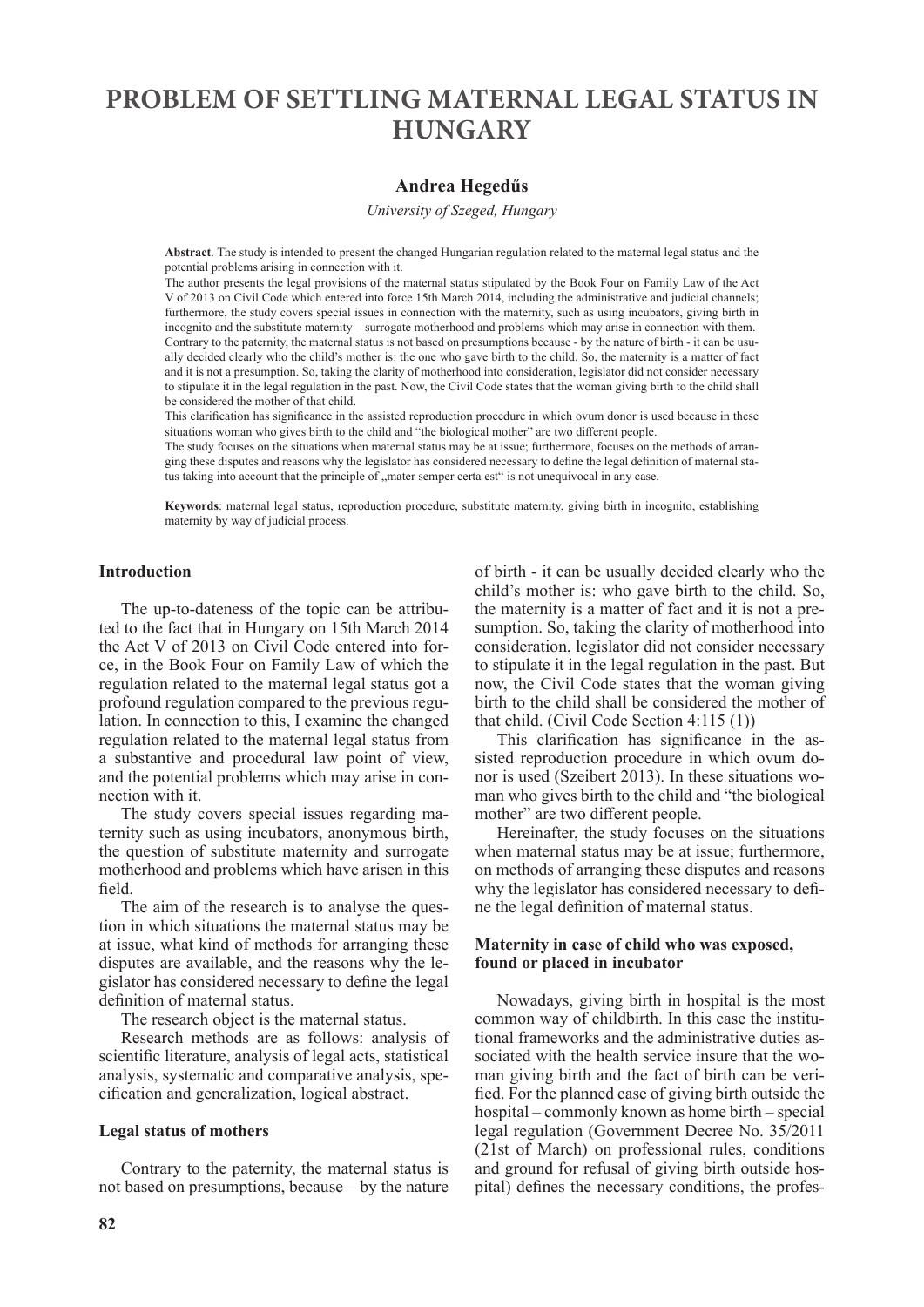# **PROBLEM OF SETTLING MATERNAL LEGAL STATUS IN HUNGARY**

## **Andrea Hegedűs**

*University of Szeged, Hungary*

**Abstract**. The study is intended to present the changed Hungarian regulation related to the maternal legal status and the potential problems arising in connection with it.

The author presents the legal provisions of the maternal status stipulated by the Book Four on Family Law of the Act V of 2013 on Civil Code which entered into force 15th March 2014, including the administrative and judicial channels; furthermore, the study covers special issues in connection with the maternity, such as using incubators, giving birth in incognito and the substitute maternity – surrogate motherhood and problems which may arise in connection with them. Contrary to the paternity, the maternal status is not based on presumptions because - by the nature of birth - it can be usually decided clearly who the child's mother is: the one who gave birth to the child. So, the maternity is a matter of fact and it is not a presumption. So, taking the clarity of motherhood into consideration, legislator did not consider necessary to stipulate it in the legal regulation in the past. Now, the Civil Code states that the woman giving birth to the child shall be considered the mother of that child.

This clarification has significance in the assisted reproduction procedure in which ovum donor is used because in these situations woman who gives birth to the child and "the biological mother" are two different people.

The study focuses on the situations when maternal status may be at issue; furthermore, focuses on the methods of arranging these disputes and reasons why the legislator has considered necessary to define the legal definition of maternal status taking into account that the principle of "mater semper certa est" is not unequivocal in any case.

**Keywords**: maternal legal status, reproduction procedure, substitute maternity, giving birth in incognito, establishing maternity by way of judicial process.

#### **Introduction**

The up-to-dateness of the topic can be attributed to the fact that in Hungary on 15th March 2014 the Act V of 2013 on Civil Code entered into force, in the Book Four on Family Law of which the regulation related to the maternal legal status got a profound regulation compared to the previous regulation. In connection to this, I examine the changed regulation related to the maternal legal status from a substantive and procedural law point of view, and the potential problems which may arise in connection with it.

The study covers special issues regarding maternity such as using incubators, anonymous birth, the question of substitute maternity and surrogate motherhood and problems which have arisen in this field.

The aim of the research is to analyse the question in which situations the maternal status may be at issue, what kind of methods for arranging these disputes are available, and the reasons why the legislator has considered necessary to define the legal definition of maternal status.

The research object is the maternal status.

Research methods are as follows: analysis of scientific literature, analysis of legal acts, statistical analysis, systematic and comparative analysis, specification and generalization, logical abstract.

## **Legal status of mothers**

Contrary to the paternity, the maternal status is not based on presumptions, because – by the nature of birth - it can be usually decided clearly who the child's mother is: who gave birth to the child. So, the maternity is a matter of fact and it is not a presumption. So, taking the clarity of motherhood into consideration, legislator did not consider necessary to stipulate it in the legal regulation in the past. But now, the Civil Code states that the woman giving birth to the child shall be considered the mother of that child. (Civil Code Section 4:115 (1))

This clarification has significance in the assisted reproduction procedure in which ovum donor is used (Szeibert 2013). In these situations woman who gives birth to the child and "the biological mother" are two different people.

Hereinafter, the study focuses on the situations when maternal status may be at issue; furthermore, on methods of arranging these disputes and reasons why the legislator has considered necessary to define the legal definition of maternal status.

## **Maternity in case of child who was exposed, found or placed in incubator**

Nowadays, giving birth in hospital is the most common way of childbirth. In this case the institutional frameworks and the administrative duties associated with the health service insure that the woman giving birth and the fact of birth can be verified. For the planned case of giving birth outside the hospital – commonly known as home birth – special legal regulation (Government Decree No. 35/2011 (21st of March) on professional rules, conditions and ground for refusal of giving birth outside hospital) defines the necessary conditions, the profes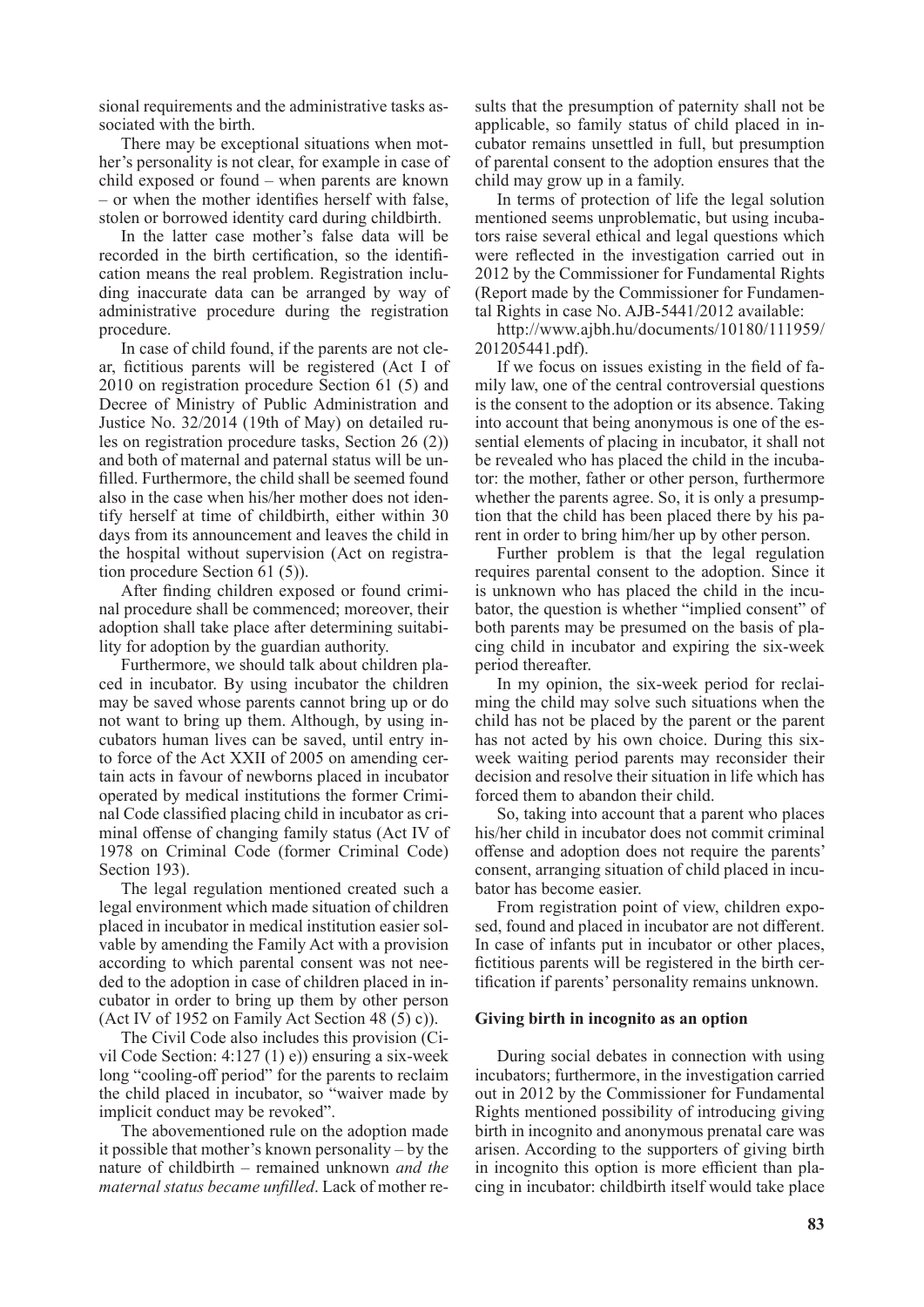sional requirements and the administrative tasks associated with the birth.

There may be exceptional situations when mother's personality is not clear, for example in case of child exposed or found – when parents are known – or when the mother identifies herself with false, stolen or borrowed identity card during childbirth.

In the latter case mother's false data will be recorded in the birth certification, so the identification means the real problem. Registration including inaccurate data can be arranged by way of administrative procedure during the registration procedure.

In case of child found, if the parents are not clear, fictitious parents will be registered (Act I of 2010 on registration procedure Section 61 (5) and Decree of Ministry of Public Administration and Justice No. 32/2014 (19th of May) on detailed rules on registration procedure tasks, Section 26 (2)) and both of maternal and paternal status will be unfilled. Furthermore, the child shall be seemed found also in the case when his/her mother does not identify herself at time of childbirth, either within 30 days from its announcement and leaves the child in the hospital without supervision (Act on registration procedure Section 61 (5)).

After finding children exposed or found criminal procedure shall be commenced; moreover, their adoption shall take place after determining suitability for adoption by the guardian authority.

Furthermore, we should talk about children placed in incubator. By using incubator the children may be saved whose parents cannot bring up or do not want to bring up them. Although, by using incubators human lives can be saved, until entry into force of the Act XXII of 2005 on amending certain acts in favour of newborns placed in incubator operated by medical institutions the former Criminal Code classified placing child in incubator as criminal offense of changing family status (Act IV of 1978 on Criminal Code (former Criminal Code) Section 193).

The legal regulation mentioned created such a legal environment which made situation of children placed in incubator in medical institution easier solvable by amending the Family Act with a provision according to which parental consent was not needed to the adoption in case of children placed in incubator in order to bring up them by other person (Act IV of 1952 on Family Act Section 48  $(5)$  c)).

The Civil Code also includes this provision (Civil Code Section: 4:127 (1) e)) ensuring a six-week long "cooling-off period" for the parents to reclaim the child placed in incubator, so "waiver made by implicit conduct may be revoked".

The abovementioned rule on the adoption made it possible that mother's known personality – by the nature of childbirth – remained unknown *and the maternal status became unfilled*. Lack of mother results that the presumption of paternity shall not be applicable, so family status of child placed in incubator remains unsettled in full, but presumption of parental consent to the adoption ensures that the child may grow up in a family.

In terms of protection of life the legal solution mentioned seems unproblematic, but using incubators raise several ethical and legal questions which were reflected in the investigation carried out in 2012 by the Commissioner for Fundamental Rights (Report made by the Commissioner for Fundamental Rights in case No. AJB-5441/2012 available:

http://www.ajbh.hu/documents/10180/111959/ 201205441.pdf).

If we focus on issues existing in the field of family law, one of the central controversial questions is the consent to the adoption or its absence. Taking into account that being anonymous is one of the essential elements of placing in incubator, it shall not be revealed who has placed the child in the incubator: the mother, father or other person, furthermore whether the parents agree. So, it is only a presumption that the child has been placed there by his parent in order to bring him/her up by other person.

Further problem is that the legal regulation requires parental consent to the adoption. Since it is unknown who has placed the child in the incubator, the question is whether "implied consent" of both parents may be presumed on the basis of placing child in incubator and expiring the six-week period thereafter.

In my opinion, the six-week period for reclaiming the child may solve such situations when the child has not be placed by the parent or the parent has not acted by his own choice. During this sixweek waiting period parents may reconsider their decision and resolve their situation in life which has forced them to abandon their child.

So, taking into account that a parent who places his/her child in incubator does not commit criminal offense and adoption does not require the parents' consent, arranging situation of child placed in incubator has become easier.

From registration point of view, children exposed, found and placed in incubator are not different. In case of infants put in incubator or other places, fictitious parents will be registered in the birth certification if parents' personality remains unknown.

#### **Giving birth in incognito as an option**

During social debates in connection with using incubators; furthermore, in the investigation carried out in 2012 by the Commissioner for Fundamental Rights mentioned possibility of introducing giving birth in incognito and anonymous prenatal care was arisen. According to the supporters of giving birth in incognito this option is more efficient than placing in incubator: childbirth itself would take place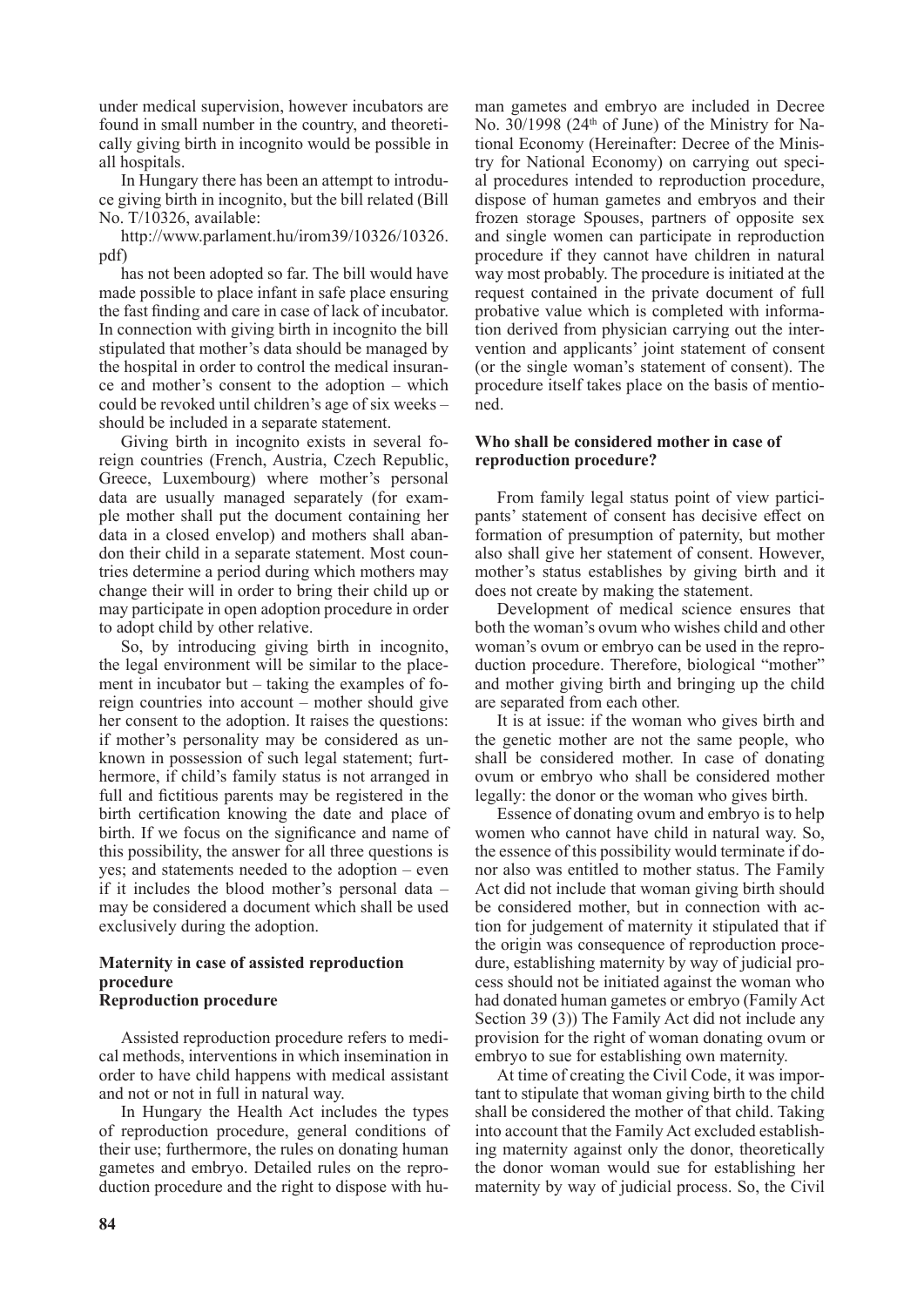under medical supervision, however incubators are found in small number in the country, and theoretically giving birth in incognito would be possible in all hospitals.

In Hungary there has been an attempt to introduce giving birth in incognito, but the bill related (Bill No. T/10326, available:

http://www.parlament.hu/irom39/10326/10326. pdf)

has not been adopted so far. The bill would have made possible to place infant in safe place ensuring the fast finding and care in case of lack of incubator. In connection with giving birth in incognito the bill stipulated that mother's data should be managed by the hospital in order to control the medical insurance and mother's consent to the adoption – which could be revoked until children's age of six weeks – should be included in a separate statement.

Giving birth in incognito exists in several foreign countries (French, Austria, Czech Republic, Greece, Luxembourg) where mother's personal data are usually managed separately (for example mother shall put the document containing her data in a closed envelop) and mothers shall abandon their child in a separate statement. Most countries determine a period during which mothers may change their will in order to bring their child up or may participate in open adoption procedure in order to adopt child by other relative.

So, by introducing giving birth in incognito, the legal environment will be similar to the placement in incubator but – taking the examples of foreign countries into account – mother should give her consent to the adoption. It raises the questions: if mother's personality may be considered as unknown in possession of such legal statement; furthermore, if child's family status is not arranged in full and fictitious parents may be registered in the birth certification knowing the date and place of birth. If we focus on the significance and name of this possibility, the answer for all three questions is yes; and statements needed to the adoption – even if it includes the blood mother's personal data – may be considered a document which shall be used exclusively during the adoption.

# **Maternity in case of assisted reproduction procedure Reproduction procedure**

Assisted reproduction procedure refers to medical methods, interventions in which insemination in order to have child happens with medical assistant and not or not in full in natural way.

In Hungary the Health Act includes the types of reproduction procedure, general conditions of their use; furthermore, the rules on donating human gametes and embryo. Detailed rules on the reproduction procedure and the right to dispose with human gametes and embryo are included in Decree No.  $30/1998$  (24<sup>th</sup> of June) of the Ministry for National Economy (Hereinafter: Decree of the Ministry for National Economy) on carrying out special procedures intended to reproduction procedure, dispose of human gametes and embryos and their frozen storage Spouses, partners of opposite sex and single women can participate in reproduction procedure if they cannot have children in natural way most probably. The procedure is initiated at the request contained in the private document of full probative value which is completed with information derived from physician carrying out the intervention and applicants' joint statement of consent (or the single woman's statement of consent). The procedure itself takes place on the basis of mentioned.

# **Who shall be considered mother in case of reproduction procedure?**

From family legal status point of view participants' statement of consent has decisive effect on formation of presumption of paternity, but mother also shall give her statement of consent. However, mother's status establishes by giving birth and it does not create by making the statement.

Development of medical science ensures that both the woman's ovum who wishes child and other woman's ovum or embryo can be used in the reproduction procedure. Therefore, biological "mother" and mother giving birth and bringing up the child are separated from each other.

It is at issue: if the woman who gives birth and the genetic mother are not the same people, who shall be considered mother. In case of donating ovum or embryo who shall be considered mother legally: the donor or the woman who gives birth.

Essence of donating ovum and embryo is to help women who cannot have child in natural way. So, the essence of this possibility would terminate if donor also was entitled to mother status. The Family Act did not include that woman giving birth should be considered mother, but in connection with action for judgement of maternity it stipulated that if the origin was consequence of reproduction procedure, establishing maternity by way of judicial process should not be initiated against the woman who had donated human gametes or embryo (Family Act Section 39 (3)) The Family Act did not include any provision for the right of woman donating ovum or embryo to sue for establishing own maternity.

At time of creating the Civil Code, it was important to stipulate that woman giving birth to the child shall be considered the mother of that child. Taking into account that the Family Act excluded establishing maternity against only the donor, theoretically the donor woman would sue for establishing her maternity by way of judicial process. So, the Civil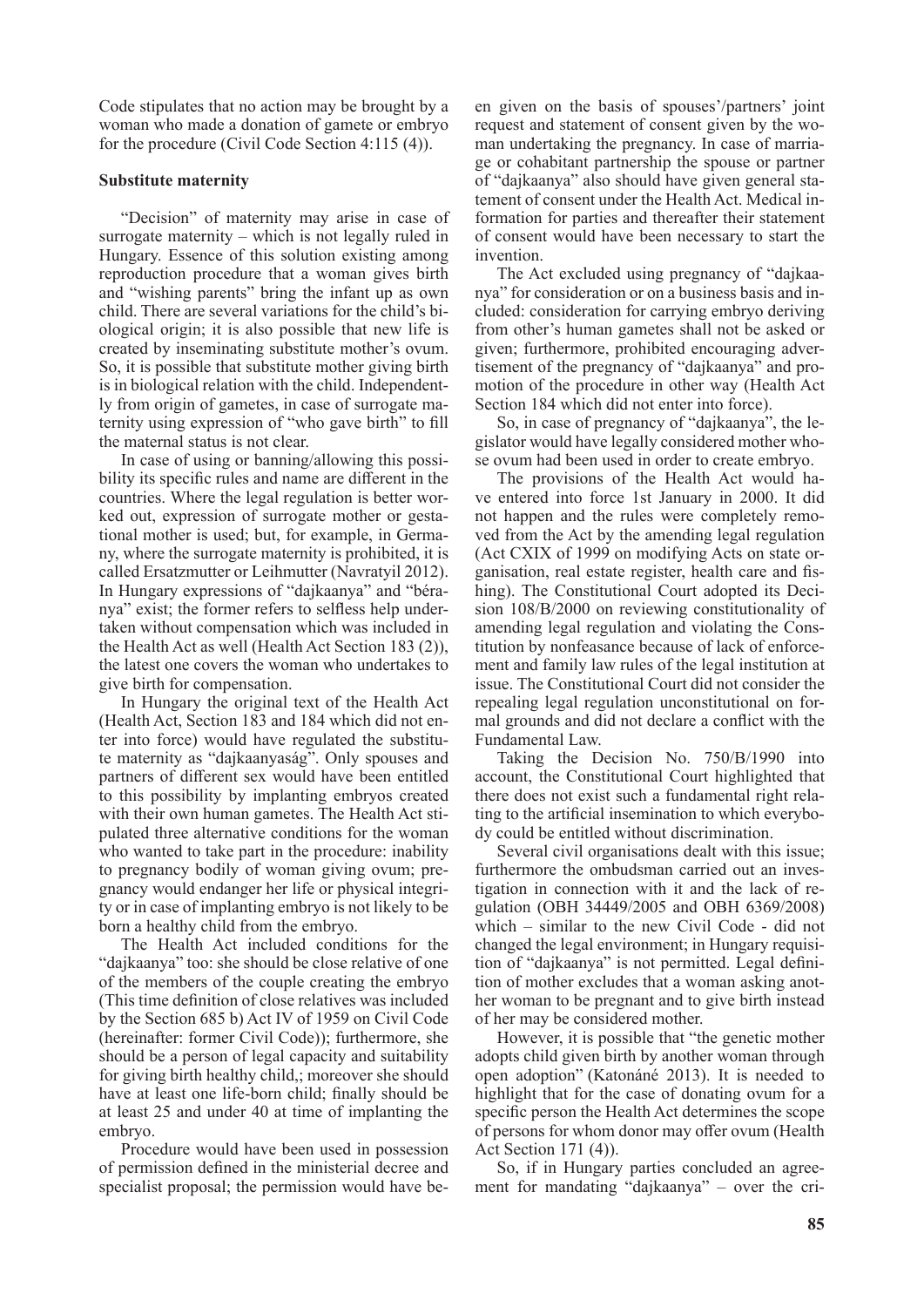Code stipulates that no action may be brought by a woman who made a donation of gamete or embryo for the procedure (Civil Code Section 4:115 (4)).

#### **Substitute maternity**

"Decision" of maternity may arise in case of surrogate maternity – which is not legally ruled in Hungary. Essence of this solution existing among reproduction procedure that a woman gives birth and "wishing parents" bring the infant up as own child. There are several variations for the child's biological origin; it is also possible that new life is created by inseminating substitute mother's ovum. So, it is possible that substitute mother giving birth is in biological relation with the child. Independently from origin of gametes, in case of surrogate maternity using expression of "who gave birth" to fill the maternal status is not clear.

In case of using or banning/allowing this possibility its specific rules and name are different in the countries. Where the legal regulation is better worked out, expression of surrogate mother or gestational mother is used; but, for example, in Germany, where the surrogate maternity is prohibited, it is called Ersatzmutter or Leihmutter (Navratyil 2012). In Hungary expressions of "dajkaanya" and "béranya" exist; the former refers to selfless help undertaken without compensation which was included in the Health Act as well (Health Act Section 183 (2)), the latest one covers the woman who undertakes to give birth for compensation.

In Hungary the original text of the Health Act (Health Act, Section 183 and 184 which did not enter into force) would have regulated the substitute maternity as "dajkaanyaság". Only spouses and partners of different sex would have been entitled to this possibility by implanting embryos created with their own human gametes. The Health Act stipulated three alternative conditions for the woman who wanted to take part in the procedure: inability to pregnancy bodily of woman giving ovum; pregnancy would endanger her life or physical integrity or in case of implanting embryo is not likely to be born a healthy child from the embryo.

The Health Act included conditions for the "dajkaanya" too: she should be close relative of one of the members of the couple creating the embryo (This time definition of close relatives was included by the Section 685 b) Act IV of 1959 on Civil Code (hereinafter: former Civil Code)); furthermore, she should be a person of legal capacity and suitability for giving birth healthy child,; moreover she should have at least one life-born child; finally should be at least 25 and under 40 at time of implanting the embryo.

Procedure would have been used in possession of permission defined in the ministerial decree and specialist proposal; the permission would have been given on the basis of spouses'/partners' joint request and statement of consent given by the woman undertaking the pregnancy. In case of marriage or cohabitant partnership the spouse or partner of "dajkaanya" also should have given general statement of consent under the Health Act. Medical information for parties and thereafter their statement of consent would have been necessary to start the invention.

The Act excluded using pregnancy of "dajkaanya" for consideration or on a business basis and included: consideration for carrying embryo deriving from other's human gametes shall not be asked or given; furthermore, prohibited encouraging advertisement of the pregnancy of "dajkaanya" and promotion of the procedure in other way (Health Act Section 184 which did not enter into force).

So, in case of pregnancy of "dajkaanya", the legislator would have legally considered mother whose ovum had been used in order to create embryo.

The provisions of the Health Act would have entered into force 1st January in 2000. It did not happen and the rules were completely removed from the Act by the amending legal regulation (Act CXIX of 1999 on modifying Acts on state organisation, real estate register, health care and fishing). The Constitutional Court adopted its Decision 108/B/2000 on reviewing constitutionality of amending legal regulation and violating the Constitution by nonfeasance because of lack of enforcement and family law rules of the legal institution at issue. The Constitutional Court did not consider the repealing legal regulation unconstitutional on formal grounds and did not declare a conflict with the Fundamental Law.

Taking the Decision No. 750/B/1990 into account, the Constitutional Court highlighted that there does not exist such a fundamental right relating to the artificial insemination to which everybody could be entitled without discrimination.

Several civil organisations dealt with this issue; furthermore the ombudsman carried out an investigation in connection with it and the lack of regulation (OBH 34449/2005 and OBH 6369/2008) which – similar to the new Civil Code - did not changed the legal environment; in Hungary requisition of "dajkaanya" is not permitted. Legal definition of mother excludes that a woman asking another woman to be pregnant and to give birth instead of her may be considered mother.

However, it is possible that "the genetic mother adopts child given birth by another woman through open adoption" (Katonáné 2013). It is needed to highlight that for the case of donating ovum for a specific person the Health Act determines the scope of persons for whom donor may offer ovum (Health Act Section 171 (4)).

So, if in Hungary parties concluded an agreement for mandating "dajkaanya" – over the cri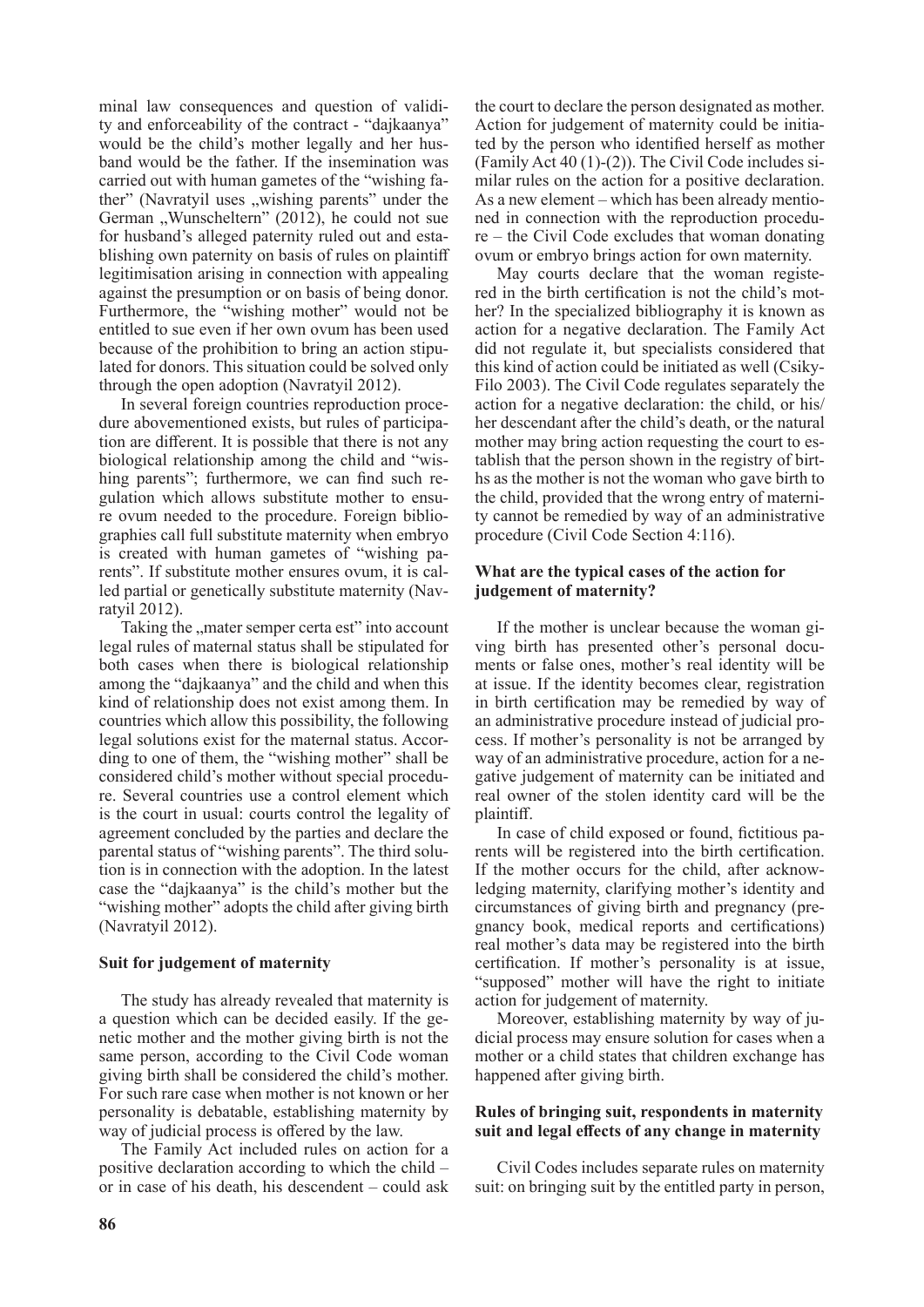minal law consequences and question of validity and enforceability of the contract - "dajkaanya" would be the child's mother legally and her husband would be the father. If the insemination was carried out with human gametes of the "wishing father" (Navratyil uses "wishing parents" under the German "Wunscheltern" (2012), he could not sue for husband's alleged paternity ruled out and establishing own paternity on basis of rules on plaintiff legitimisation arising in connection with appealing against the presumption or on basis of being donor. Furthermore, the "wishing mother" would not be entitled to sue even if her own ovum has been used because of the prohibition to bring an action stipulated for donors. This situation could be solved only through the open adoption (Navratyil 2012).

In several foreign countries reproduction procedure abovementioned exists, but rules of participation are different. It is possible that there is not any biological relationship among the child and "wishing parents"; furthermore, we can find such regulation which allows substitute mother to ensure ovum needed to the procedure. Foreign bibliographies call full substitute maternity when embryo is created with human gametes of "wishing parents". If substitute mother ensures ovum, it is called partial or genetically substitute maternity (Navratyil 2012).

Taking the "mater semper certa est" into account legal rules of maternal status shall be stipulated for both cases when there is biological relationship among the "dajkaanya" and the child and when this kind of relationship does not exist among them. In countries which allow this possibility, the following legal solutions exist for the maternal status. According to one of them, the "wishing mother" shall be considered child's mother without special procedure. Several countries use a control element which is the court in usual: courts control the legality of agreement concluded by the parties and declare the parental status of "wishing parents". The third solution is in connection with the adoption. In the latest case the "dajkaanya" is the child's mother but the "wishing mother" adopts the child after giving birth (Navratyil 2012).

## **Suit for judgement of maternity**

The study has already revealed that maternity is a question which can be decided easily. If the genetic mother and the mother giving birth is not the same person, according to the Civil Code woman giving birth shall be considered the child's mother. For such rare case when mother is not known or her personality is debatable, establishing maternity by way of judicial process is offered by the law.

The Family Act included rules on action for a positive declaration according to which the child – or in case of his death, his descendent – could ask

the court to declare the person designated as mother. Action for judgement of maternity could be initiated by the person who identified herself as mother (Family Act 40 (1)-(2)). The Civil Code includes similar rules on the action for a positive declaration. As a new element – which has been already mentioned in connection with the reproduction procedure – the Civil Code excludes that woman donating ovum or embryo brings action for own maternity.

May courts declare that the woman registered in the birth certification is not the child's mother? In the specialized bibliography it is known as action for a negative declaration. The Family Act did not regulate it, but specialists considered that this kind of action could be initiated as well (Csiky-Filo 2003). The Civil Code regulates separately the action for a negative declaration: the child, or his/ her descendant after the child's death, or the natural mother may bring action requesting the court to establish that the person shown in the registry of births as the mother is not the woman who gave birth to the child, provided that the wrong entry of maternity cannot be remedied by way of an administrative procedure (Civil Code Section 4:116).

## **What are the typical cases of the action for judgement of maternity?**

If the mother is unclear because the woman giving birth has presented other's personal documents or false ones, mother's real identity will be at issue. If the identity becomes clear, registration in birth certification may be remedied by way of an administrative procedure instead of judicial process. If mother's personality is not be arranged by way of an administrative procedure, action for a negative judgement of maternity can be initiated and real owner of the stolen identity card will be the plaintiff.

In case of child exposed or found, fictitious parents will be registered into the birth certification. If the mother occurs for the child, after acknowledging maternity, clarifying mother's identity and circumstances of giving birth and pregnancy (pregnancy book, medical reports and certifications) real mother's data may be registered into the birth certification. If mother's personality is at issue, "supposed" mother will have the right to initiate action for judgement of maternity.

Moreover, establishing maternity by way of judicial process may ensure solution for cases when a mother or a child states that children exchange has happened after giving birth.

# **Rules of bringing suit, respondents in maternity suit and legal effects of any change in maternity**

Civil Codes includes separate rules on maternity suit: on bringing suit by the entitled party in person,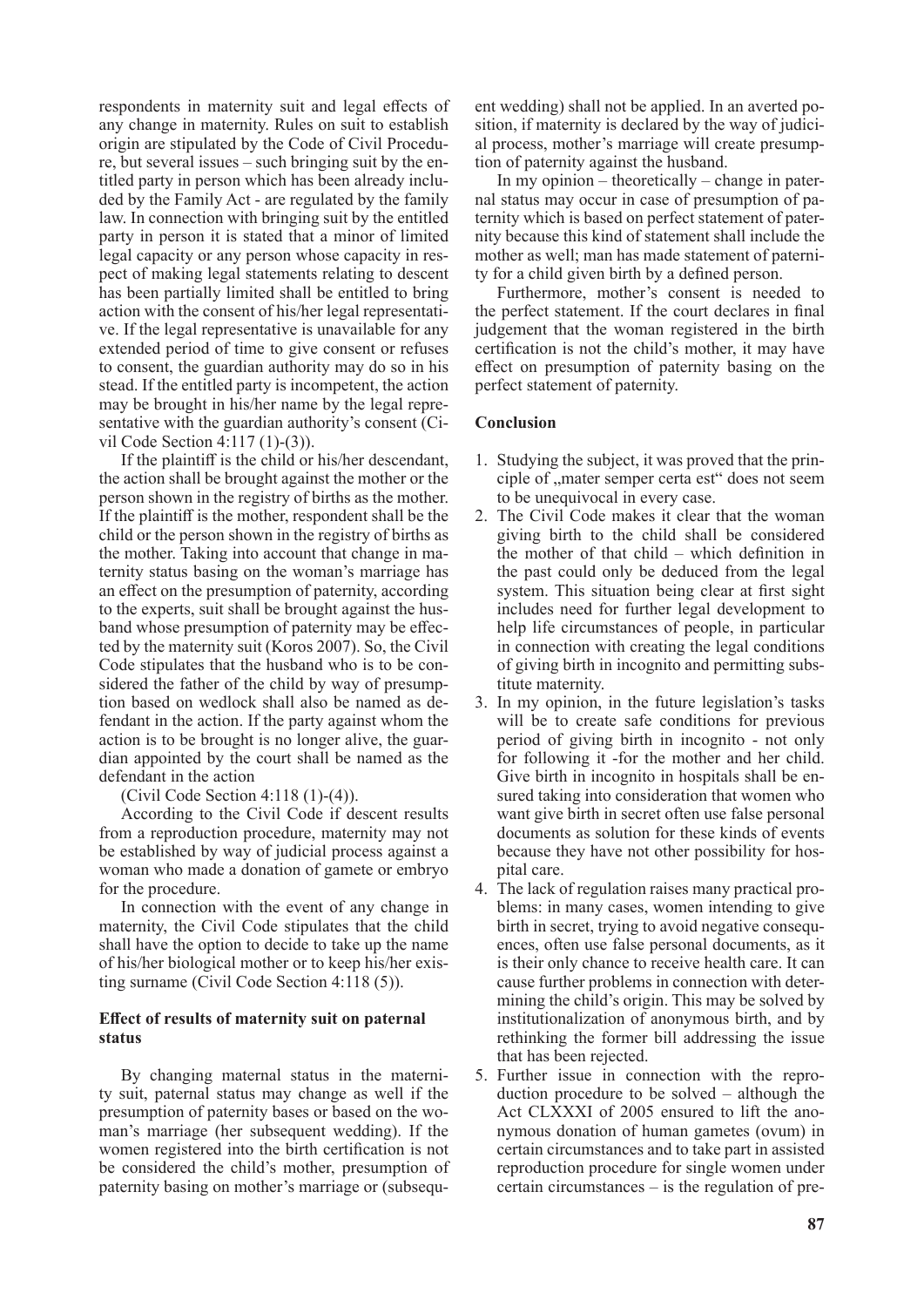respondents in maternity suit and legal effects of any change in maternity. Rules on suit to establish origin are stipulated by the Code of Civil Procedure, but several issues – such bringing suit by the entitled party in person which has been already included by the Family Act - are regulated by the family law. In connection with bringing suit by the entitled party in person it is stated that a minor of limited legal capacity or any person whose capacity in respect of making legal statements relating to descent has been partially limited shall be entitled to bring action with the consent of his/her legal representative. If the legal representative is unavailable for any extended period of time to give consent or refuses to consent, the guardian authority may do so in his stead. If the entitled party is incompetent, the action may be brought in his/her name by the legal representative with the guardian authority's consent (Civil Code Section 4:117 (1)-(3)).

If the plaintiff is the child or his/her descendant, the action shall be brought against the mother or the person shown in the registry of births as the mother. If the plaintiff is the mother, respondent shall be the child or the person shown in the registry of births as the mother. Taking into account that change in maternity status basing on the woman's marriage has an effect on the presumption of paternity, according to the experts, suit shall be brought against the husband whose presumption of paternity may be effected by the maternity suit (Koros 2007). So, the Civil Code stipulates that the husband who is to be considered the father of the child by way of presumption based on wedlock shall also be named as defendant in the action. If the party against whom the action is to be brought is no longer alive, the guardian appointed by the court shall be named as the defendant in the action

(Civil Code Section 4:118 (1)-(4)).

According to the Civil Code if descent results from a reproduction procedure, maternity may not be established by way of judicial process against a woman who made a donation of gamete or embryo for the procedure.

In connection with the event of any change in maternity, the Civil Code stipulates that the child shall have the option to decide to take up the name of his/her biological mother or to keep his/her existing surname (Civil Code Section 4:118 (5)).

# **Effect of results of maternity suit on paternal status**

By changing maternal status in the maternity suit, paternal status may change as well if the presumption of paternity bases or based on the woman's marriage (her subsequent wedding). If the women registered into the birth certification is not be considered the child's mother, presumption of paternity basing on mother's marriage or (subsequent wedding) shall not be applied. In an averted position, if maternity is declared by the way of judicial process, mother's marriage will create presumption of paternity against the husband.

In my opinion – theoretically – change in paternal status may occur in case of presumption of paternity which is based on perfect statement of paternity because this kind of statement shall include the mother as well; man has made statement of paternity for a child given birth by a defined person.

Furthermore, mother's consent is needed to the perfect statement. If the court declares in final judgement that the woman registered in the birth certification is not the child's mother, it may have effect on presumption of paternity basing on the perfect statement of paternity.

# **Conclusion**

- 1. Studying the subject, it was proved that the principle of "mater semper certa est" does not seem to be unequivocal in every case.
- 2. The Civil Code makes it clear that the woman giving birth to the child shall be considered the mother of that child – which definition in the past could only be deduced from the legal system. This situation being clear at first sight includes need for further legal development to help life circumstances of people, in particular in connection with creating the legal conditions of giving birth in incognito and permitting substitute maternity.
- 3. In my opinion, in the future legislation's tasks will be to create safe conditions for previous period of giving birth in incognito - not only for following it -for the mother and her child. Give birth in incognito in hospitals shall be ensured taking into consideration that women who want give birth in secret often use false personal documents as solution for these kinds of events because they have not other possibility for hospital care.
- 4. The lack of regulation raises many practical problems: in many cases, women intending to give birth in secret, trying to avoid negative consequences, often use false personal documents, as it is their only chance to receive health care. It can cause further problems in connection with determining the child's origin. This may be solved by institutionalization of anonymous birth, and by rethinking the former bill addressing the issue that has been rejected.
- 5. Further issue in connection with the reproduction procedure to be solved – although the Act CLXXXI of 2005 ensured to lift the anonymous donation of human gametes (ovum) in certain circumstances and to take part in assisted reproduction procedure for single women under certain circumstances – is the regulation of pre-